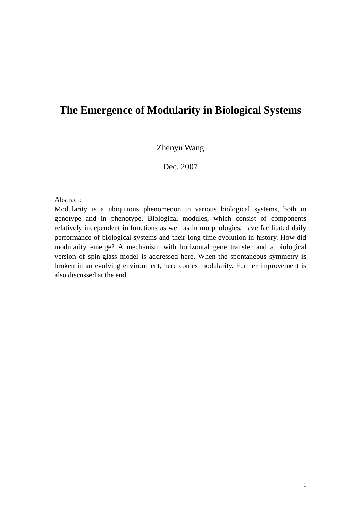# **The Emergence of Modularity in Biological Systems**

# Zhenyu Wang

Dec. 2007

Abstract:

Modularity is a ubiquitous phenomenon in various biological systems, both in genotype and in phenotype. Biological modules, which consist of components relatively independent in functions as well as in morphologies, have facilitated daily performance of biological systems and their long time evolution in history. How did modularity emerge? A mechanism with horizontal gene transfer and a biological version of spin-glass model is addressed here. When the spontaneous symmetry is broken in an evolving environment, here comes modularity. Further improvement is also discussed at the end.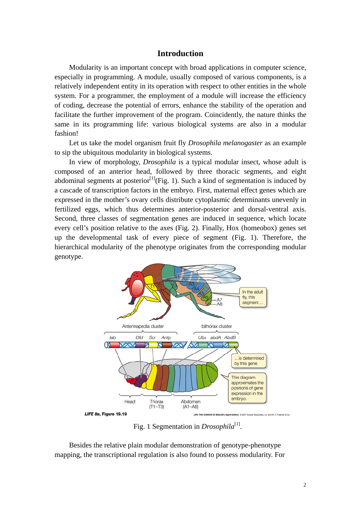## **Introduction**

Modularity is an important concept with broad applications in computer science, especially in programming. A module, usually composed of various components, is a relatively independent entity in its operation with respect to other entities in the whole system. For a programmer, the employment of a module will increase the efficiency of coding, decrease the potential of errors, enhance the stability of the operation and facilitate the further improvement of the program. Coincidently, the nature thinks the same in its programming life: various biological systems are also in a modular fashion!

Let us take the model organism fruit fly *Drosophila melanogaster* as an example to sip the ubiquitous modularity in biological systems.

In view of morphology, *Drosophila* is a typical modular insect, whose adult is composed of an anterior head, followed by three thoracic segments, and eight abdominal segments at posterior<sup>[1]</sup>(Fig. 1). Such a kind of segmentation is induced by a cascade of transcription factors in the embryo. First, maternal effect genes which are expressed in the mother's ovary cells distribute cytoplasmic determinants unevenly in fertilized eggs, which thus determines anterior-posterior and dorsal-ventral axis. Second, three classes of segmentation genes are induced in sequence, which locate every cell's position relative to the axes (Fig. 2). Finally, Hox (homeobox) genes set up the developmental task of every piece of segment (Fig. 1). Therefore, the hierarchical modularity of the phenotype originates from the corresponding modular genotype.



Fig. 1 Segmentation in *Drosophila*<sup>[1]</sup>.

Besides the relative plain modular demonstration of genotype-phenotype mapping, the transcriptional regulation is also found to possess modularity. For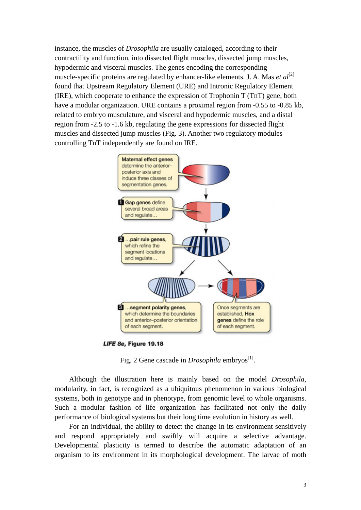instance, the muscles of *Drosophila* are usually cataloged, according to their contractility and function, into dissected flight muscles, dissected jump muscles, hypodermic and visceral muscles. The genes encoding the corresponding muscle-specific proteins are regulated by enhancer-like elements. J. A. Mas *et al*<sup>[2]</sup> found that Upstream Regulatory Element (URE) and Intronic Regulatory Element (IRE), which cooperate to enhance the expression of Trophonin T (TnT) gene, both have a modular organization. URE contains a proximal region from -0.55 to -0.85 kb, related to embryo musculature, and visceral and hypodermic muscles, and a distal region from -2.5 to -1.6 kb, regulating the gene expressions for dissected flight muscles and dissected jump muscles (Fig. 3). Another two regulatory modules controlling TnT independently are found on IRE.



LIFE 8e, Figure 19.18

Fig. 2 Gene cascade in *Drosophila* embryos<sup>[1]</sup>.

Although the illustration here is mainly based on the model *Drosophila*, modularity, in fact, is recognized as a ubiquitous phenomenon in various biological systems, both in genotype and in phenotype, from genomic level to whole organisms. Such a modular fashion of life organization has facilitated not only the daily performance of biological systems but their long time evolution in history as well.

For an individual, the ability to detect the change in its environment sensitively and respond appropriately and swiftly will acquire a selective advantage. Developmental plasticity is termed to describe the automatic adaptation of an organism to its environment in its morphological development. The larvae of moth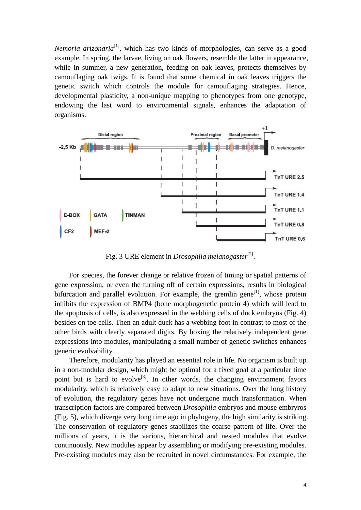*Nemoria arizonaria*<sup>[1]</sup>, which has two kinds of morphologies, can serve as a good example. In spring, the larvae, living on oak flowers, resemble the latter in appearance, while in summer, a new generation, feeding on oak leaves, protects themselves by camouflaging oak twigs. It is found that some chemical in oak leaves triggers the genetic switch which controls the module for camouflaging strategies. Hence, developmental plasticity, a non-unique mapping to phenotypes from one genotype, endowing the last word to environmental signals, enhances the adaptation of organisms.



Fig. 3 URE element in *Drosophila melanogaster*<sup>[2]</sup>.

For species, the forever change or relative frozen of timing or spatial patterns of gene expression, or even the turning off of certain expressions, results in biological bifurcation and parallel evolution. For example, the gremlin gene<sup>[1]</sup>, whose protein inhibits the expression of BMP4 (bone morphogenetic protein 4) which will lead to the apoptosis of cells, is also expressed in the webbing cells of duck embryos (Fig. 4) besides on toe cells. Then an adult duck has a webbing foot in contrast to most of the other birds with clearly separated digits. By boxing the relatively independent gene expressions into modules, manipulating a small number of genetic switches enhances generic evolvability.

Therefore, modularity has played an essential role in life. No organism is built up in a non-modular design, which might be optimal for a fixed goal at a particular time point but is hard to evolve<sup>[3]</sup>. In other words, the changing environment favors modularity, which is relatively easy to adapt to new situations. Over the long history of evolution, the regulatory genes have not undergone much transformation. When transcription factors are compared between *Drosophila* embryos and mouse embryros (Fig. 5), which diverge very long time ago in phylogeny, the high similarity is striking. The conservation of regulatory genes stabilizes the coarse pattern of life. Over the millions of years, it is the various, hierarchical and nested modules that evolve continuously. New modules appear by assembling or modifying pre-existing modules. Pre-existing modules may also be recruited in novel circumstances. For example, the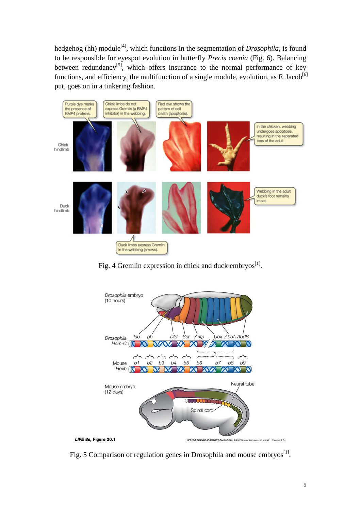hedgehog (hh) module<sup>[4]</sup>, which functions in the segmentation of *Drosophila*, is found to be responsible for eyespot evolution in butterfly *Precis coenia* (Fig. 6). Balancing between redundancy<sup>[5]</sup>, which offers insurance to the normal performance of key functions, and efficiency, the multifunction of a single module, evolution, as F. Jacob<sup>[6]</sup> put, goes on in a tinkering fashion.



Fig. 4 Gremlin expression in chick and duck embryos $^{[1]}$ .



Fig. 5 Comparison of regulation genes in Drosophila and mouse embryos $^{[1]}$ .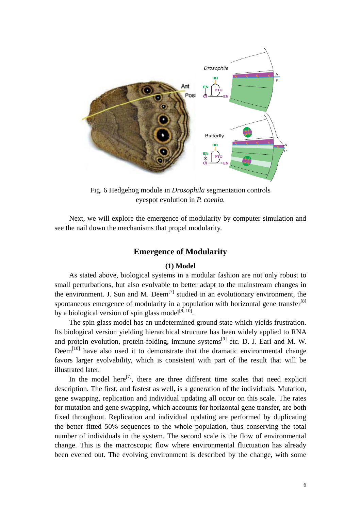

Fig. 6 Hedgehog module in *Drosophila* segmentation controls eyespot evolution in *P. coenia.* 

Next, we will explore the emergence of modularity by computer simulation and see the nail down the mechanisms that propel modularity.

## **Emergence of Modularity**

### **(1) Model**

As stated above, biological systems in a modular fashion are not only robust to small perturbations, but also evolvable to better adapt to the mainstream changes in the environment. J. Sun and M. Deem<sup>[7]</sup> studied in an evolutionary environment, the spontaneous emergence of modularity in a population with horizontal gene transfer<sup>[8]</sup> by a biological version of spin glass model<sup>[9, 10]</sup>.

The spin glass model has an undetermined ground state which yields frustration. Its biological version yielding hierarchical structure has been widely applied to RNA and protein evolution, protein-folding, immune systems<sup>[9]</sup> etc. D. J. Earl and M. W.  $Deem<sup>[10]</sup>$  have also used it to demonstrate that the dramatic environmental change favors larger evolvability, which is consistent with part of the result that will be illustrated later.

In the model here<sup>[7]</sup>, there are three different time scales that need explicit description. The first, and fastest as well, is a generation of the individuals. Mutation, gene swapping, replication and individual updating all occur on this scale. The rates for mutation and gene swapping, which accounts for horizontal gene transfer, are both fixed throughout. Replication and individual updating are performed by duplicating the better fitted 50% sequences to the whole population, thus conserving the total number of individuals in the system. The second scale is the flow of environmental change. This is the macroscopic flow where environmental fluctuation has already been evened out. The evolving environment is described by the change, with some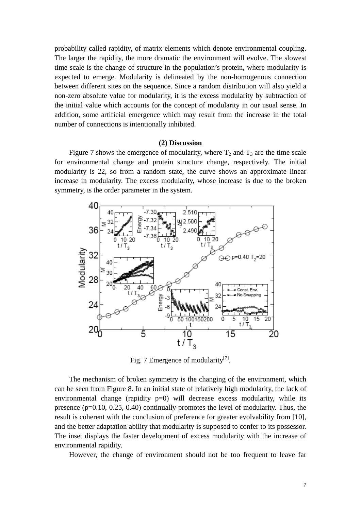probability called rapidity, of matrix elements which denote environmental coupling. The larger the rapidity, the more dramatic the environment will evolve. The slowest time scale is the change of structure in the population's protein, where modularity is expected to emerge. Modularity is delineated by the non-homogenous connection between different sites on the sequence. Since a random distribution will also yield a non-zero absolute value for modularity, it is the excess modularity by subtraction of the initial value which accounts for the concept of modularity in our usual sense. In addition, some artificial emergence which may result from the increase in the total number of connections is intentionally inhibited.

#### **(2) Discussion**

Figure 7 shows the emergence of modularity, where  $T_2$  and  $T_3$  are the time scale for environmental change and protein structure change, respectively. The initial modularity is 22, so from a random state, the curve shows an approximate linear increase in modularity. The excess modularity, whose increase is due to the broken symmetry, is the order parameter in the system.



Fig. 7 Emergence of modularity<sup>[7]</sup>.

The mechanism of broken symmetry is the changing of the environment, which can be seen from Figure 8. In an initial state of relatively high modularity, the lack of environmental change (rapidity p=0) will decrease excess modularity, while its presence (p=0.10, 0.25, 0.40) continually promotes the level of modularity. Thus, the result is coherent with the conclusion of preference for greater evolvability from [10], and the better adaptation ability that modularity is supposed to confer to its possessor. The inset displays the faster development of excess modularity with the increase of environmental rapidity.

However, the change of environment should not be too frequent to leave far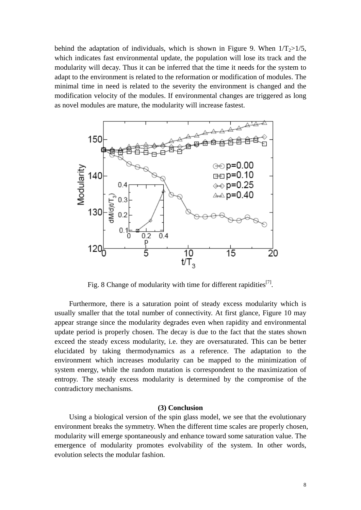behind the adaptation of individuals, which is shown in Figure 9. When  $1/T_2 > 1/5$ , which indicates fast environmental update, the population will lose its track and the modularity will decay. Thus it can be inferred that the time it needs for the system to adapt to the environment is related to the reformation or modification of modules. The minimal time in need is related to the severity the environment is changed and the modification velocity of the modules. If environmental changes are triggered as long as novel modules are mature, the modularity will increase fastest.



Fig. 8 Change of modularity with time for different rapidities<sup>[7]</sup>.

Furthermore, there is a saturation point of steady excess modularity which is usually smaller that the total number of connectivity. At first glance, Figure 10 may appear strange since the modularity degrades even when rapidity and environmental update period is properly chosen. The decay is due to the fact that the states shown exceed the steady excess modularity, i.e. they are oversaturated. This can be better elucidated by taking thermodynamics as a reference. The adaptation to the environment which increases modularity can be mapped to the minimization of system energy, while the random mutation is correspondent to the maximization of entropy. The steady excess modularity is determined by the compromise of the contradictory mechanisms.

#### **(3) Conclusion**

Using a biological version of the spin glass model, we see that the evolutionary environment breaks the symmetry. When the different time scales are properly chosen, modularity will emerge spontaneously and enhance toward some saturation value. The emergence of modularity promotes evolvability of the system. In other words, evolution selects the modular fashion.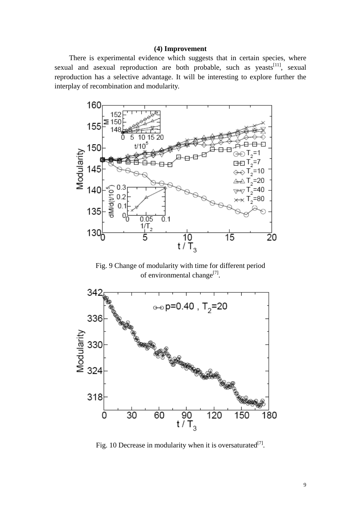### **(4) Improvement**

There is experimental evidence which suggests that in certain species, where sexual and asexual reproduction are both probable, such as yeasts<sup>[11]</sup>, sexual reproduction has a selective advantage. It will be interesting to explore further the interplay of recombination and modularity.



Fig. 9 Change of modularity with time for different period of environmental change<sup>[7]</sup>.



Fig. 10 Decrease in modularity when it is oversaturated<sup>[7]</sup>.